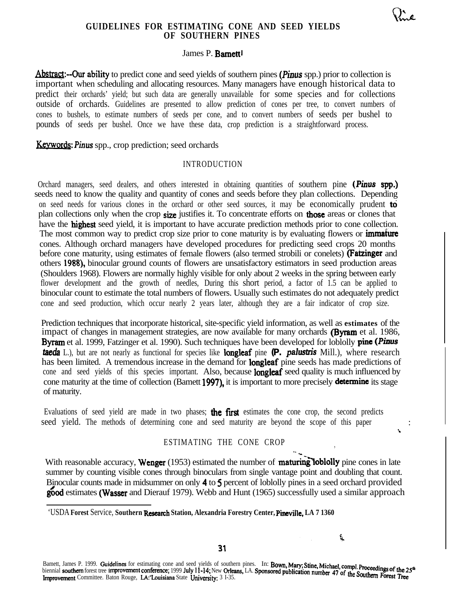# **GUIDELINES FOR ESTIMATING CONE AND SEED YIELDS OF SOUTHERN PINES**

**6,z-a**

' .

## James P. Barnettl

Abstract:--Our ability to predict cone and seed yields of southern pines (Pinus spp.) prior to collection is important when scheduling and allocating resources. Many managers have enough historical data to predict their orchards' yield; but such data are generally unavailable for some species and for collections outside of orchards. Guidelines are presented to allow prediction of cones per tree, to convert numbers of cones to bushels, to estimate numbers of seeds per cone, and to convert numbers of seeds per bushel to pounds of seeds per bushel. Once we have these data, crop prediction is a straightforward process.

**Keywords: Pinus** spp., crop prediction; seed orchards

## INTRODUCTION

Orchard managers, seed dealers, and others interested in obtaining quantities of southern pine (Pinus **spp.)** seeds need to know the quality and quantity of cones and seeds before they plan collections. Depending on seed needs for various clones in the orchard or other seed sources, it may be economically prudent to plan collections only when the crop size justifies it. To concentrate efforts on those areas or clones that have the **highest** seed yield, it is important to have accurate prediction methods prior to cone collection. The most common way to predict crop size prior to cone maturity is by evaluating flowers or **immature** cones. Although orchard managers have developed procedures for predicting seed crops 20 months before cone maturity, using estimates of female flowers (also termed strobili or conelets) **(Fatzinger** and others 1988), binocular ground counts of flowers are unsatisfactory estimators in seed production areas (Shoulders 1968). Flowers are normally highly visible for only about 2 weeks in the spring between early flower development and the growth of needles, During this short period, a factor of 1.5 can be applied to binocular count to estimate the total numbers of flowers. Usually such estimates do not adequately predict cone and seed production, which occur nearly 2 years later, although they are a fair indicator of crop size.

Prediction techniques that incorporate historical, site-specific yield information, as well as **estimates** of the impact of changes in management strategies, are now available for many orchards (Byram et al. 1986, **Byram** et al. 1999, Fatzinger et al. 1990). Such techniques have been developed for loblolly **pine (Pinus** taeda L.), but are not nearly as functional for species like longleaf pine *(P.* palustris Mill.), where research has been limited. A tremendous increase in the demand for **longleaf** pine seeds has made predictions of cone and seed yields of this species important. Also, because **longleaf** seed quality is much influenced by cone maturity at the time of collection (Bamett 1997), it is important to more precisely determine its stage of maturity.

Evaluations of seed yield are made in two phases; the first estimates the cone crop, the second predicts seed yield. The methods of determining cone and seed maturity are beyond the scope of this paper

## ESTIMATING THE CONE CROP

 $\mathbf{r}$ 

t.

With reasonable accuracy, **Wenger** (1953) estimated the number of **maturing lobility** pine cones in late summer by counting visible cones through binoculars from single vantage point and doubling that count. Binocular counts made in midsummer on only 4 to 5 percent of loblolly pines in a seed orchard provided good estimates (Wasser and Dierauf 1979). Webb and Hunt (1965) successfully used a similar approach

Bamett, James P. 1999. Guidelines for estimating cone and seed yields of southern pines. In: Bown, Mary; Stine, Michael, compl. Proceedings of the 25<sup>th</sup> Bamett, James P. 1999. Guidennes for esumanny cone and seed yields or southern price. The Lowin, many, cancer, computer froceedings of the 2<br>biennial southern forest tree improvement conference; 1999 July 11-14; New Orlean Improvement Committee. Baton Rouge, LA: Louisiana State University: 3 I-35.

<sup>&#</sup>x27;USDA **Forest** Service, **Southern Rcseatch Station, Alexandria Forestry Center, Pineviile, LA 7 1360**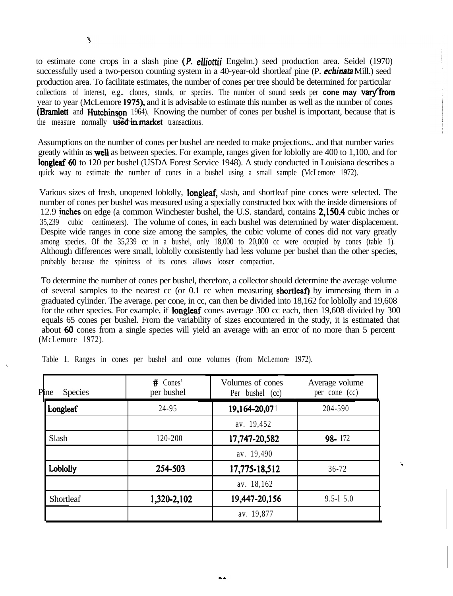$\overline{\mathcal{A}}$ 

to estimate cone crops in a slash pine (P. elliottii Engelm.) seed production area. Seidel (1970) successfully used a two-person counting system in a 40-year-old shortleaf pine (P. *cchinata* Mill.) seed production area. To facilitate estimates, the number of cones per tree should be determined for particular collections of interest, e.g., clones, stands, or species. The number of sound seeds per **cone may vary from** year to year (McLemore 1975), and it is advisable to estimate this number as well as the number of cones (Bramlett and Hutchinson 1964). Knowing the number of cones per bushel is important, because that is the measure normally used in market transactions.

Assumptions on the number of cones per bushel are needed to make projections,. and that number varies greatly within as **well** as between species. For example, ranges given for loblolly are 400 to 1,100, and for longleaf 60 to 120 per bushel (USDA Forest Service 1948). A study conducted in Louisiana describes a quick way to estimate the number of cones in a bushel using a small sample (McLemore 1972).

Various sizes of fresh, unopened loblolly, **longleaf**, slash, and shortleaf pine cones were selected. The number of cones per bushel was measured using a specially constructed box with the inside dimensions of 12.9 inches on edge (a common Winchester bushel, the U.S. standard, contains 2.150.4 cubic inches or 35,239 cubic centimeters). The volume of cones, in each bushel was determined by water displacement. Despite wide ranges in cone size among the samples, the cubic volume of cones did not vary greatly among species. Of the 35,239 cc in a bushel, only 18,000 to 20,000 cc were occupied by cones (table 1). Although differences were small, loblolly consistently had less volume per bushel than the other species, probably because the spininess of its cones allows looser compaction.

To determine the number of cones per bushel, therefore, a collector should determine the average volume of several samples to the nearest cc (or  $0.1$  cc when measuring **shortleaf)** by immersing them in a graduated cylinder. The average. per cone, in cc, can then be divided into 18,162 for loblolly and 19,608 for the other species. For example, if **longleaf** cones average 300 cc each, then 19,608 divided by 300 equals 65 cones per bushel. From the variability of sizes encountered in the study, it is estimated that about 60 cones from a single species will yield an average with an error of no more than 5 percent (McLemore 1972).

| Pine<br><b>Species</b> | $#$ Cones'<br>per bushel | Volumes of cones<br>Per bushel (cc) | Average volume<br>per cone (cc) |  |
|------------------------|--------------------------|-------------------------------------|---------------------------------|--|
| Longleaf               | 24-95                    | 19,164-20,071                       | 204-590                         |  |
|                        |                          | av. 19,452                          |                                 |  |
| Slash                  | 120-200                  | 17,747-20,582                       | 98-172                          |  |
|                        |                          | av. 19,490                          |                                 |  |
| Loblolly               | 254-503                  | 17,775-18,512                       | $36 - 72$                       |  |
|                        |                          | av. 18,162                          |                                 |  |
| Shortleaf              | 1,320-2,102              | 19,447-20,156                       | $9.5 - 15.0$                    |  |
|                        |                          | av. 19,877                          |                                 |  |

Table 1. Ranges in cones per bushel and cone volumes (from McLemore 1972).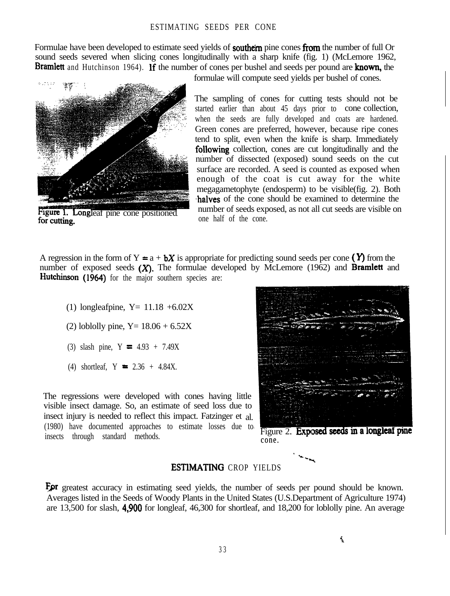#### ESTIMATING SEEDS PER CONE

Formulae have been developed to estimate seed yields of **southern** pine cones from the number of full Or sound seeds severed when slicing cones longitudinally with a sharp knife (fig. 1) (McLemore 1962, **Bramlett** and Hutchinson 1964). If the number of cones per bushel and seeds per pound are **known**, the



Figure 1. Longleaf pine cone positioned for cutting.

formulae will compute seed yields per bushel of cones.

The sampling of cones for cutting tests should not be started earlier than about 45 days prior to cone collection, when the seeds are fully developed and coats are hardened. Green cones are preferred, however, because ripe cones tend to split, even when the knife is sharp. Immediately following collection, cones are cut longitudinally and the number of dissected (exposed) sound seeds on the cut surface are recorded. A seed is counted as exposed when enough of the coat is cut away for the white megagametophyte (endosperm) to be visible(fig. 2). Both halves of the cone should be examined to determine the number of seeds exposed, as not all cut seeds are visible on one half of the cone.

A regression in the form of  $Y = a + bX$  is appropriate for predicting sound seeds per cone (Y) from the number of exposed seeds  $(X)$ . The formulae developed by McLemore (1962) and **Bramlett** and Hutchinson (1964) for the major southern species are:

- (1) longleafpine,  $Y = 11.18 + 6.02X$
- (2) loblolly pine,  $Y = 18.06 + 6.52X$
- (3) slash pine,  $Y = 4.93 + 7.49X$
- (4) shortleaf,  $Y = 2.36 + 4.84X$ .

The regressions were developed with cones having little visible insect damage. So, an estimate of seed loss due to insect injury is needed to reflect this impact. Fatzinger et al. (1980) have documented approaches to estimate losses due to insects through standard methods.  $\frac{1}{1000}$  insects through standard methods.



cone.

. --. \_ -.

### ESTlMATING CROP YIELDS

For greatest accuracy in estimating seed yields, the number of seeds per pound should be known. Averages listed in the Seeds of Woody Plants in the United States (U.S.Department of Agriculture 1974) are 13,500 for slash, 4,900 for longleaf, 46,300 for shortleaf, and 18,200 for loblolly pine. An average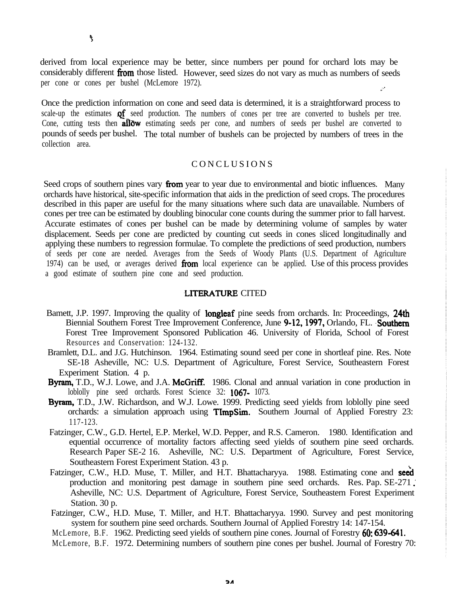derived from local experience may be better, since numbers per pound for orchard lots may be considerably different from those listed. However, seed sizes do not vary as much as numbers of seeds per cone or cones per bushel (McLemore 1972). ..'.

Once the prediction information on cone and seed data is determined, it is a straightforward process to scale-up the estimates **of** seed production. The numbers of cones per tree are converted to bushels per tree. Cone, cutting tests then **allow** estimating seeds per cone, and numbers of seeds per bushel are converted to pounds of seeds per bushel. The total number of bushels can be projected by numbers of trees in the collection area.

## CONCLUSIONS

Seed crops of southern pines vary **from** year to year due to environmental and biotic influences. Many orchards have historical, site-specific information that aids in the prediction of seed crops. The procedures described in this paper are useful for the many situations where such data are unavailable. Numbers of cones per tree can be estimated by doubling binocular cone counts during the summer prior to fall harvest. Accurate estimates of cones per bushel can be made by determining volume of samples by water displacement. Seeds per cone are predicted by counting cut seeds in cones sliced longitudinally and applying these numbers to regression formulae. To complete the predictions of seed production, numbers of seeds per cone are needed. Averages from the Seeds of Woody Plants (U.S. Department of Agriculture 1974) can be used, or averages derived from local experience can be applied. Use of this process provides a good estimate of southern pine cone and seed production.

### .LITERATURE CITED

- Bamett, J.P. 1997. Improving the quality of longleaf pine seeds from orchards. In: Proceedings, 24th Biennial Southern Forest Tree Improvement Conference, June 9-12, 1997, Orlando, FL. Southern Forest Tree Improvement Sponsored Publication 46. University of Florida, School of Forest Resources and Conservation: 124-132.
- Bramlett, D.L. and J.G. Hutchinson. 1964. Estimating sound seed per cone in shortleaf pine. Res. Note SE-18 Asheville, NC: U.S. Department of Agriculture, Forest Service, Southeastern Forest Experiment Station. 4 p.
- Byram, T.D., W.J. Lowe, and J.A. McGriff. 1986. Clonal and annual variation in cone production in loblolly pine seed orchards. Forest Science 32: **1067-** 1073.
- Byram, T.D., J.W. Richardson, and W.J. Lowe. 1999. Predicting seed yields from loblolly pine seed orchards: a simulation approach using **TImpSim.** Southern Journal of Applied Forestry 23: 117-123.
- Fatzinger, C.W., G.D. Hertel, E.P. Merkel, W.D. Pepper, and R.S. Cameron. 1980. Identification and equential occurrence of mortality factors affecting seed yields of southern pine seed orchards. Research Paper SE-2 16. Asheville, NC: U.S. Department of Agriculture, Forest Service, Southeastern Forest Experiment Station. 43 p.
- Fatzinger, C.W., H.D. Muse, T. Miller, and H.T. Bhattacharyya. 1988. Estimating cone and seed production and monitoring pest damage in southern pine seed orchards. Res. Pap. SE-271. Asheville, NC: U.S. Department of Agriculture, Forest Service, Southeastern Forest Experiment Station. 30 p.
- Fatzinger, C.W., H.D. Muse, T. Miller, and H.T. Bhattacharyya. 1990. Survey and pest monitoring system for southern pine seed orchards. Southern Journal of Applied Forestry 14: 147-154.
- McLemore, B.F. 1962. Predicting seed yields of southern pine cones. Journal of Forestry 60: 639-641.

McLemore, B.F. 1972. Determining numbers of southern pine cones per bushel. Journal of Forestry 70: